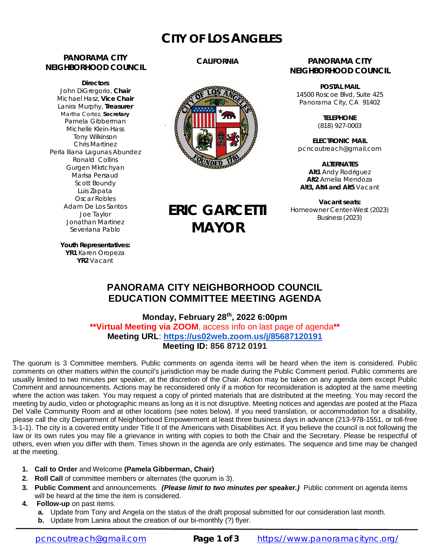# **CITY OF LOS ANGELES**

### **PANORAMA CITY NEIGHBORHOOD COUNCIL**

**Directors** John DiGregorio, **Chair** Michael Hasz, **Vice Chair** Lanira Murphy, **Treasurer** Martha Cortez, **Secretary** Pamela Gibberman Michelle Klein-Hass Tony Wilkinson Chris Martinez Perla Iliana Lagunas Abundez Ronald Collins Gurgen Mkrtchyan Marisa Persaud Scott Boundy Luis Zapata Oscar Robles Adam De Los Santos Joe Taylor Jonathan Martinez Severiana Pablo

### **CALIFORNIA**



**ERIC GARCETTI**

**MAYOR**

### **PANORAMA CITY NEIGHBORHOOD COUNCIL**

**POSTAL MAIL** 14500 Roscoe Blvd, Suite 425 Panorama City, CA 91402

> **TELEPHONE** (818) 927-0003

**ELECTRONIC MAIL** [pcncoutreach@gmail.com](mailto:pcncoutreach@gmail.com)

**ALTERNATES Alt1** Andy Rodriguez **Alt2** Amelia Mendoza **Alt3, Alt4 and Alt5** Vacant

**Vacant seats:** Homeowner Center-West (2023) Business (2023)

**Youth Representatives: YR1** Karen Oropeza **YR2** Vacant

### **PANORAMA CITY NEIGHBORHOOD COUNCIL EDUCATION COMMITTEE MEETING AGENDA**

**Monday, February 28 th , 2022 6:00pm \*\*Virtual Meeting via ZOOM**, access info on last page of agenda**\*\* Meeting URL**: **<https://us02web.zoom.us/j/85687120191> Meeting ID: 856 8712 0191**

The quorum is 3 Committee members. Public comments on agenda items will be heard when the item is considered. Public comments on other matters within the council's jurisdiction may be made during the Public Comment period. Public comments are usually limited to two minutes per speaker, at the discretion of the Chair. Action may be taken on any agenda item except Public Comment and announcements. Actions may be reconsidered only if a motion for reconsideration is adopted at the same meeting where the action was taken. You may request a copy of printed materials that are distributed at the meeting. You may record the meeting by audio, video or photographic means as long as it is not disruptive. Meeting notices and agendas are posted at the Plaza Del Valle Community Room and at other locations (see notes below). If you need translation, or accommodation for a disability, please call the city Department of Neighborhood Empowerment at least three business days in advance (213-978-1551, or toll-free 3-1-1). The city is a covered entity under Title II of the Americans with Disabilities Act. If you believe the council is not following the law or its own rules you may file a grievance in writing with copies to both the Chair and the Secretary. Please be respectful of others, even when you differ with them. Times shown in the agenda are only estimates. The sequence and time may be changed at the meeting.

- **1. Call to Order** and Welcome **(Pamela Gibberman, Chair)**
- **2. Roll Call** of committee members or alternates (the quorum is 3).
- **3. Public Comment** and announcements. *(Please limit to two minutes per speaker.)* Public comment on agenda items will be heard at the time the item is considered.
- **4. Follow-up** on past items.
	- **a.** Update from Tony and Angela on the status of the draft proposal submitted for our consideration last month.
	- **b.** Update from Lanira about the creation of our bi-monthly (?) flyer.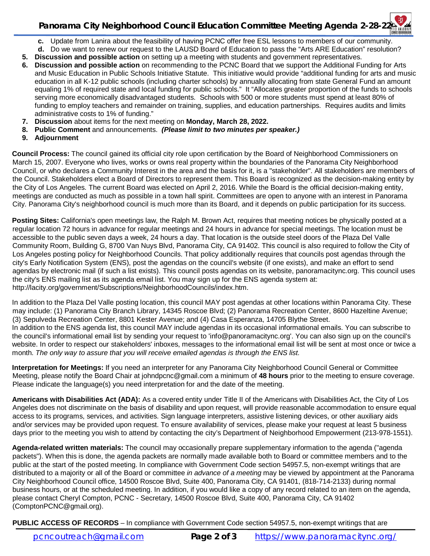### **Panorama City Neighborhood Council Education Committee Meeting Agenda 2-28-22**

- **c.** Update from Lanira about the feasibility of having PCNC offer free ESL lessons to members of our community.
- **d.** Do we want to renew our request to the LAUSD Board of Education to pass the "Arts ARE Education" resolution?
- **5. Discussion and possible action** on setting up a meeting with students and government representatives.
- **6. Discussion and possible action** on recommending to the PCNC Board that we support the Additional Funding for Arts and Music Education in Public Schools Initiative Statute. This initiative would provide "additional funding for arts and music education in all K-12 public schools (including charter schools) by annually allocating from state General Fund an amount equaling 1% of required state and local funding for public schools." It "Allocates greater proportion of the funds to schools serving more economically disadvantaged students. Schools with 500 or more students must spend at least 80% of funding to employ teachers and remainder on training, supplies, and education partnerships. Requires audits and limits administrative costs to 1% of funding."
- **7. Discussion** about items for the next meeting on **Monday, March 28, 2022.**
- **8. Public Comment** and announcements. *(Please limit to two minutes per speaker.)*
- **9. Adjournment**

**Council Process:** The council gained its official city role upon certification by the Board of Neighborhood Commissioners on March 15, 2007. Everyone who lives, works or owns real property within the boundaries of the Panorama City Neighborhood Council, or who declares a Community Interest in the area and the basis for it, is a "stakeholder". All stakeholders are members of the Council. Stakeholders elect a Board of Directors to represent them. This Board is recognized as the decision-making entity by the City of Los Angeles. The current Board was elected on April 2, 2016. While the Board is the official decision-making entity, meetings are conducted as much as possible in a town hall spirit. Committees are open to anyone with an interest in Panorama City. Panorama City's neighborhood council is much more than its Board, and it depends on public participation for its success.

**Posting Sites:** California's open meetings law, the Ralph M. Brown Act, requires that meeting notices be physically posted at a regular location 72 hours in advance for regular meetings and 24 hours in advance for special meetings. The location must be accessible to the public seven days a week, 24 hours a day. That location is the outside steel doors of the Plaza Del Valle Community Room, Building G, 8700 Van Nuys Blvd, Panorama City, CA 91402. This council is also required to follow the City of Los Angeles posting policy for Neighborhood Councils. That policy additionally requires that councils post agendas through the city's Early Notification System (ENS), post the agendas on the council's website (if one exists), and make an effort to send agendas by electronic mail (if such a list exists). This council posts agendas on its website, panoramacitync.org. This council uses the city's ENS mailing list as its agenda email list. You may sign up for the ENS agenda system at: <http://lacity.org/government/Subscriptions/NeighborhoodCouncils/index.htm.>

In addition to the Plaza Del Valle posting location, this council MAY post agendas at other locations within Panorama City. These may include: (1) Panorama City Branch Library, 14345 Roscoe Blvd; (2) Panorama Recreation Center, 8600 Hazeltine Avenue; (3) Sepulveda Recreation Center, 8801 Kester Avenue; and (4) Casa Esperanza, 14705 Blythe Street. In addition to the ENS agenda list, this council MAY include agendas in its occasional informational emails. You can subscribe to the council's informational email list by sending your request to ['info@panoramacitync.org'.](mailto:) You can also sign up on the council's website. In order to respect our stakeholders' inboxes, messages to the informational email list will be sent at most once or twice a month. *The only way to assure that you will receive emailed agendas is through the ENS list.* 

**Interpretation for Meetings:** If you need an interpreter for any Panorama City Neighborhood Council General or Committee Meeting, please notify the Board Chair at [johndpcnc@gmail.com](mailto:johndpcnc@gmail.com) a minimum of **48 hours** prior to the meeting to ensure coverage. Please indicate the language(s) you need interpretation for and the date of the meeting.

**Americans with Disabilities Act (ADA):** As a covered entity under Title II of the Americans with Disabilities Act, the City of Los Angeles does not discriminate on the basis of disability and upon request, will provide reasonable accommodation to ensure equal access to its programs, services, and activities. Sign language interpreters, assistive listening devices, or other auxiliary aids and/or services may be provided upon request. To ensure availability of services, please make your request at least 5 business days prior to the meeting you wish to attend by contacting the city's Department of Neighborhood Empowerment (213-978-1551).

**Agenda-related written materials:** The council may occasionally prepare supplementary information to the agenda ("agenda packets"). When this is done, the agenda packets are normally made available both to Board or committee members and to the public at the start of the posted meeting. In compliance with Government Code section 54957.5, non-exempt writings that are distributed to a majority or all of the Board or committee *in advance of a meeting* may be viewed by appointment at the Panorama City Neighborhood Council office, 14500 Roscoe Blvd, Suite 400, Panorama City, CA 91401, (818-714-2133) during normal business hours, or at the scheduled meeting. In addition, if you would like a copy of any record related to an item on the agenda, please contact Cheryl Compton, PCNC - Secretary, 14500 Roscoe Blvd, Suite 400, Panorama City, CA 91402 [\(ComptonPCNC@gmail.org\).](mailto:(ComptonPCNC@gmail.org).) 

**PUBLIC ACCESS OF RECORDS** – In compliance with Government Code section 54957.5, non-exempt writings that are